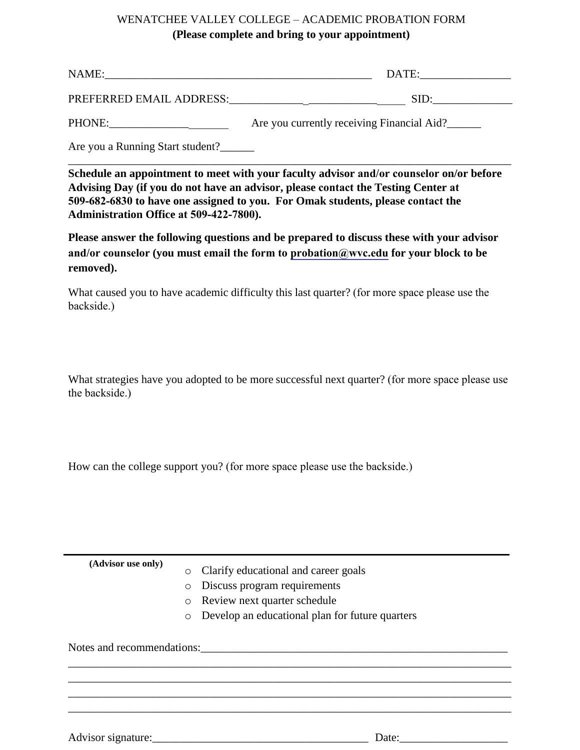## WENATCHEE VALLEY COLLEGE – ACADEMIC PROBATION FORM **(Please complete and bring to your appointment)**

| NAME:                    | DATE: |
|--------------------------|-------|
| PREFERRED EMAIL ADDRESS: | SID:  |

PHONE: \_\_\_\_\_\_\_\_\_\_\_\_\_\_\_\_\_\_\_\_\_\_\_\_\_\_ Are you currently receiving Financial Aid?\_\_\_\_\_\_

Are you a Running Start student?\_\_\_\_\_\_

**Schedule an appointment to meet with your faculty advisor and/or counselor on/or before Advising Day (if you do not have an advisor, please contact the Testing Center at 509-682-6830 to have one assigned to you. For Omak students, please contact the Administration Office at 509-422-7800).**

\_\_\_\_\_\_\_\_\_\_\_\_\_\_\_\_\_\_\_\_\_\_\_\_\_\_\_\_\_\_\_\_\_\_\_\_\_\_\_\_\_\_\_\_\_\_\_\_\_\_\_\_\_\_\_\_\_\_\_\_\_\_\_\_\_\_\_\_\_\_\_\_\_\_\_\_\_\_

**Please answer the following questions and be prepared to discuss these with your advisor and/or counselor (you must email the form to probation@wvc.edu for your block to be removed).**

What caused you to have academic difficulty this last quarter? (for more space please use the backside.)

What strategies have you adopted to be more successful next quarter? (for more space please use the backside.)

How can the college support you? (for more space please use the backside.)

**(Advisor use only)** 

- o Clarify educational and career goals
- o Discuss program requirements
- o Review next quarter schedule
- o Develop an educational plan for future quarters

\_\_\_\_\_\_\_\_\_\_\_\_\_\_\_\_\_\_\_\_\_\_\_\_\_\_\_\_\_\_\_\_\_\_\_\_\_\_\_\_\_\_\_\_\_\_\_\_\_\_\_\_\_\_\_\_\_\_\_\_\_\_\_\_\_\_\_\_\_\_\_\_\_\_\_\_\_\_ \_\_\_\_\_\_\_\_\_\_\_\_\_\_\_\_\_\_\_\_\_\_\_\_\_\_\_\_\_\_\_\_\_\_\_\_\_\_\_\_\_\_\_\_\_\_\_\_\_\_\_\_\_\_\_\_\_\_\_\_\_\_\_\_\_\_\_\_\_\_\_\_\_\_\_\_\_\_ \_\_\_\_\_\_\_\_\_\_\_\_\_\_\_\_\_\_\_\_\_\_\_\_\_\_\_\_\_\_\_\_\_\_\_\_\_\_\_\_\_\_\_\_\_\_\_\_\_\_\_\_\_\_\_\_\_\_\_\_\_\_\_\_\_\_\_\_\_\_\_\_\_\_\_\_\_\_ \_\_\_\_\_\_\_\_\_\_\_\_\_\_\_\_\_\_\_\_\_\_\_\_\_\_\_\_\_\_\_\_\_\_\_\_\_\_\_\_\_\_\_\_\_\_\_\_\_\_\_\_\_\_\_\_\_\_\_\_\_\_\_\_\_\_\_\_\_\_\_\_\_\_\_\_\_\_

Notes and recommendations:

Advisor signature:\_\_\_\_\_\_\_\_\_\_\_\_\_\_\_\_\_\_\_\_\_\_\_\_\_\_\_\_\_\_\_\_\_\_\_\_\_\_ Date:\_\_\_\_\_\_\_\_\_\_\_\_\_\_\_\_\_\_\_